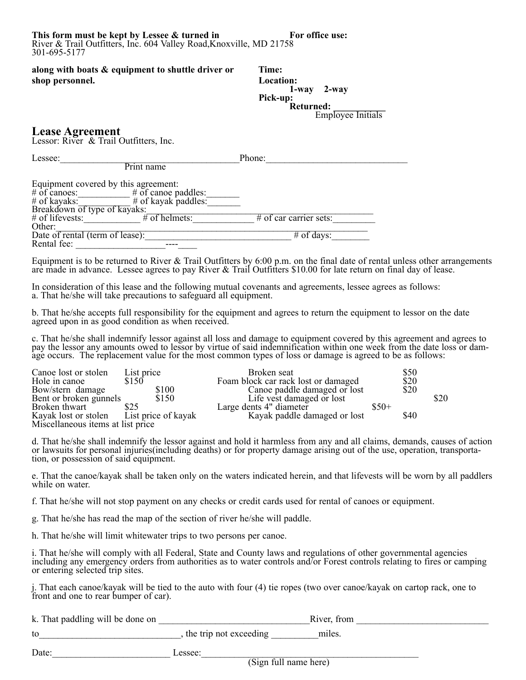This form must be kept by Lessee & turned in For office use: River & Trail Outfitters, Inc. 604 Valley Road,Knoxville, MD 21758 301-695-5177

**along with boats & equipment to shuttle driver or Time: shop personnel. Location:**

**1-way 2-way Pick-up: Returned: \_\_\_\_\_\_\_\_\_\_\_** Employee Initials

## **Lease Agreement**

Lessor: River & Trail Outfitters, Inc.

| Lessee:                                                                                                    |                                                | Phone:                   |  |
|------------------------------------------------------------------------------------------------------------|------------------------------------------------|--------------------------|--|
| Print name                                                                                                 |                                                |                          |  |
| Equipment covered by this agreement:<br>$\#$ of cances:<br>$\#$ of kayaks:<br>Breakdown of type of kayaks: | $#$ of canoe paddles:<br>$#$ of kayak paddles: |                          |  |
| $#$ of lifevests:<br>Other:                                                                                | $\#$ of helmets:                               | $#$ of car carrier sets: |  |
| Date of rental (term of lease):                                                                            |                                                | $#$ of days:             |  |
| Rental fee:                                                                                                |                                                |                          |  |

Equipment is to be returned to River & Trail Outfitters by 6:00 p.m. on the final date of rental unless other arrangements are made in advance. Lessee agrees to pay River & Trail Outfitters \$10.00 for late return on final day of lease.

In consideration of this lease and the following mutual covenants and agreements, lessee agrees as follows: a. That he/she will take precautions to safeguard all equipment.

b. That he/she accepts full responsibility for the equipment and agrees to return the equipment to lessor on the date agreed upon in as good condition as when received.

c. That he/she shall indemnify lessor against all loss and damage to equipment covered by this agreement and agrees to pay the lessor any amounts owed to lessor by virtue of said indemnification within one week from the date loss or damage occurs. The replacement value for the most common types of loss or damage is agreed to be as follows:

| Canoe lost or stolen<br>Hole in canoe | List price<br>\$150 | Broken seat<br>Foam block car rack lost or damaged |        | \$50<br>\$20 |      |
|---------------------------------------|---------------------|----------------------------------------------------|--------|--------------|------|
| Bow/stern damage                      | \$100               | Canoe paddle damaged or lost                       |        | \$20         |      |
| Bent or broken gunnels                | \$150               | Life vest damaged or lost                          |        |              | \$20 |
| Broken thwart                         | \$25                | Large dents 4" diameter                            | $$50+$ |              |      |
| Kayak lost or stolen                  | List price of kayak | Kayak paddle damaged or lost                       |        | \$40         |      |
| Miscellaneous items at list price     |                     |                                                    |        |              |      |

d. That he/she shall indemnify the lessor against and hold it harmless from any and all claims, demands, causes of action or lawsuits for personal injuries(including deaths) or for property damage arising out of the use, operation, transportation, or possession of said equipment.

e. That the canoe/kayak shall be taken only on the waters indicated herein, and that lifevests will be worn by all paddlers while on water.

f. That he/she will not stop payment on any checks or credit cards used for rental of canoes or equipment.

g. That he/she has read the map of the section of river he/she will paddle.

h. That he/she will limit whitewater trips to two persons per canoe.

i. That he/she will comply with all Federal, State and County laws and regulations of other governmental agencies including any emergency orders from authorities as to water controls and/or Forest controls relating to fires or camping or entering selected trip sites.

j. That each canoe/kayak will be tied to the auto with four (4) tie ropes (two over canoe/kayak on cartop rack, one to front and one to rear bumper of car).

| k. That paddling will be done on |                        | River, from |  |
|----------------------------------|------------------------|-------------|--|
| to                               | the trip not exceeding | miles.      |  |
| Date:                            | essee:                 |             |  |

(Sign full name here)